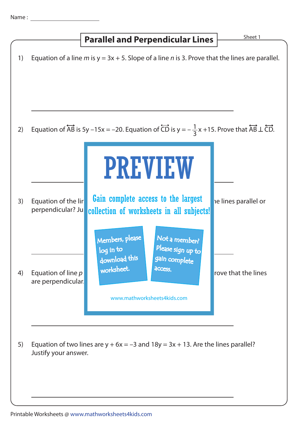